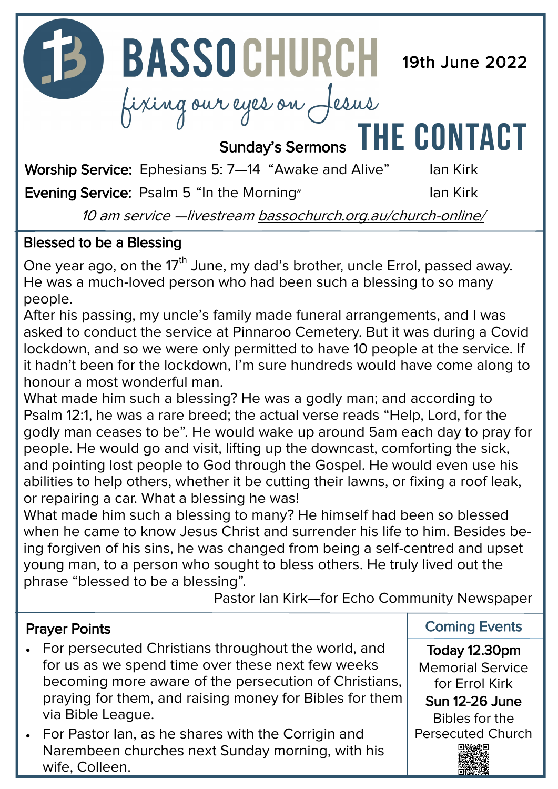**13 BASSOCHURCH** 19th June 2022

Fixing our eyes on Jesus

Worship Service: Ephesians 5: 7-44 "Awake and Alive" Ian Kirk

Evening Service: Psalm 5 "In the Morning" and Ian Kirk

**HE CONTACT** 

10 am service —livestream [bassochurch.org.au/church](https://www.bassochurch.org.au/church-online/)-online/

### Blessed to be a Blessing

One year ago, on the 17<sup>th</sup> June, my dad's brother, uncle Errol, passed away. He was a much-loved person who had been such a blessing to so many people.

After his passing, my uncle's family made funeral arrangements, and I was asked to conduct the service at Pinnaroo Cemetery. But it was during a Covid lockdown, and so we were only permitted to have 10 people at the service. If it hadn't been for the lockdown, I'm sure hundreds would have come along to honour a most wonderful man.

What made him such a blessing? He was a godly man; and according to Psalm 12:1, he was a rare breed; the actual verse reads "Help, Lord, for the godly man ceases to be". He would wake up around 5am each day to pray for people. He would go and visit, lifting up the downcast, comforting the sick, and pointing lost people to God through the Gospel. He would even use his abilities to help others, whether it be cutting their lawns, or fixing a roof leak, or repairing a car. What a blessing he was!

What made him such a blessing to many? He himself had been so blessed when he came to know Jesus Christ and surrender his life to him. Besides being forgiven of his sins, he was changed from being a self-centred and upset young man, to a person who sought to bless others. He truly lived out the phrase "blessed to be a blessing".

Pastor Ian Kirk—for Echo Community Newspaper

#### Prayer Points

- For persecuted Christians throughout the world, and for us as we spend time over these next few weeks becoming more aware of the persecution of Christians, praying for them, and raising money for Bibles for them via Bible League.
- For Pastor Ian, as he shares with the Corrigin and Narembeen churches next Sunday morning, with his wife, Colleen.

Coming Events

Today 12.30pm Memorial Service for Errol Kirk Sun 12-26 June Bibles for the Persecuted Church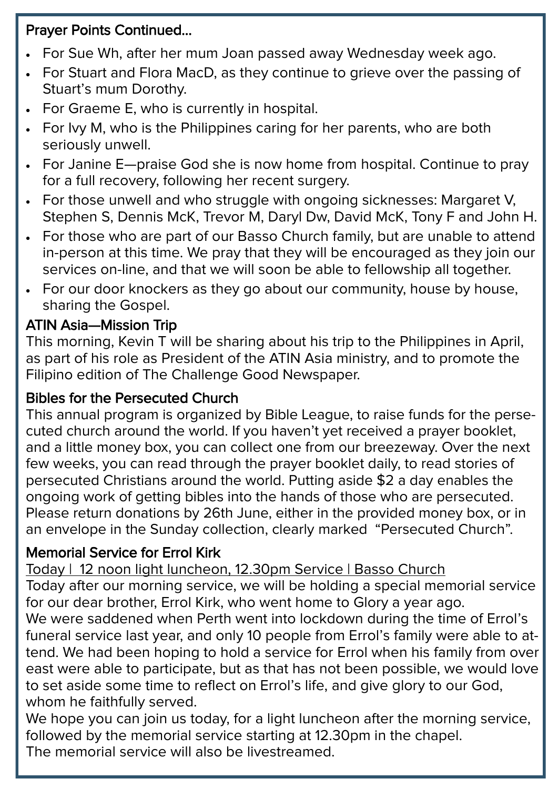## Prayer Points Continued...

- For Sue Wh, after her mum Joan passed away Wednesday week ago.
- For Stuart and Flora MacD, as they continue to grieve over the passing of Stuart's mum Dorothy.
- For Graeme E, who is currently in hospital.
- For Ivy M, who is the Philippines caring for her parents, who are both seriously unwell.
- For Janine E—praise God she is now home from hospital. Continue to pray for a full recovery, following her recent surgery.
- For those unwell and who struggle with ongoing sicknesses: Margaret V, Stephen S, Dennis McK, Trevor M, Daryl Dw, David McK, Tony F and John H.
- For those who are part of our Basso Church family, but are unable to attend in-person at this time. We pray that they will be encouraged as they join our services on-line, and that we will soon be able to fellowship all together.
- For our door knockers as they go about our community, house by house, sharing the Gospel.

## ATIN Asia—Mission Trip

This morning, Kevin T will be sharing about his trip to the Philippines in April, as part of his role as President of the ATIN Asia ministry, and to promote the Filipino edition of The Challenge Good Newspaper.

#### Bibles for the Persecuted Church

This annual program is organized by Bible League, to raise funds for the persecuted church around the world. If you haven't yet received a prayer booklet, and a little money box, you can collect one from our breezeway. Over the next few weeks, you can read through the prayer booklet daily, to read stories of persecuted Christians around the world. Putting aside \$2 a day enables the ongoing work of getting bibles into the hands of those who are persecuted. Please return donations by 26th June, either in the provided money box, or in an envelope in the Sunday collection, clearly marked "Persecuted Church".

#### Memorial Service for Errol Kirk

Today | 12 noon light luncheon, 12.30pm Service | Basso Church

Today after our morning service, we will be holding a special memorial service for our dear brother, Errol Kirk, who went home to Glory a year ago.

We were saddened when Perth went into lockdown during the time of Errol's funeral service last year, and only 10 people from Errol's family were able to attend. We had been hoping to hold a service for Errol when his family from over east were able to participate, but as that has not been possible, we would love to set aside some time to reflect on Errol's life, and give glory to our God, whom he faithfully served.

We hope you can join us today, for a light luncheon after the morning service, followed by the memorial service starting at 12.30pm in the chapel. The memorial service will also be livestreamed.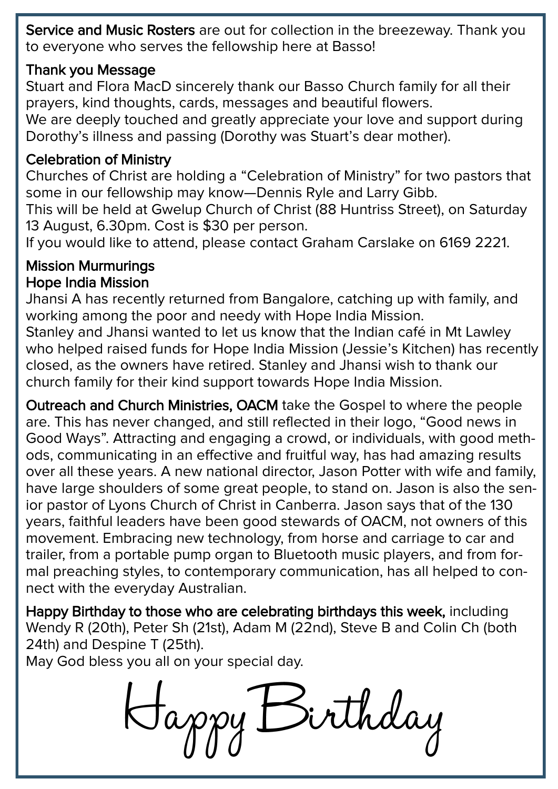Service and Music Rosters are out for collection in the breezeway. Thank you to everyone who serves the fellowship here at Basso!

#### Thank you Message

Stuart and Flora MacD sincerely thank our Basso Church family for all their prayers, kind thoughts, cards, messages and beautiful flowers.

We are deeply touched and greatly appreciate your love and support during Dorothy's illness and passing (Dorothy was Stuart's dear mother).

### Celebration of Ministry

Churches of Christ are holding a "Celebration of Ministry" for two pastors that some in our fellowship may know—Dennis Ryle and Larry Gibb.

This will be held at Gwelup Church of Christ (88 Huntriss Street), on Saturday 13 August, 6.30pm. Cost is \$30 per person.

If you would like to attend, please contact Graham Carslake on 6169 2221.

### Mission Murmurings Hope India Mission

Jhansi A has recently returned from Bangalore, catching up with family, and working among the poor and needy with Hope India Mission. Stanley and Jhansi wanted to let us know that the Indian café in Mt Lawley who helped raised funds for Hope India Mission (Jessie's Kitchen) has recently closed, as the owners have retired. Stanley and Jhansi wish to thank our church family for their kind support towards Hope India Mission.

Outreach and Church Ministries, OACM take the Gospel to where the people are. This has never changed, and still reflected in their logo, "Good news in Good Ways". Attracting and engaging a crowd, or individuals, with good methods, communicating in an effective and fruitful way, has had amazing results over all these years. A new national director, Jason Potter with wife and family, have large shoulders of some great people, to stand on. Jason is also the senior pastor of Lyons Church of Christ in Canberra. Jason says that of the 130 years, faithful leaders have been good stewards of OACM, not owners of this movement. Embracing new technology, from horse and carriage to car and trailer, from a portable pump organ to Bluetooth music players, and from formal preaching styles, to contemporary communication, has all helped to connect with the everyday Australian.

Happy Birthday to those who are celebrating birthdays this week, including Wendy R (20th), Peter Sh (21st), Adam M (22nd), Steve B and Colin Ch (both 24th) and Despine T (25th).

May God bless you all on your special day.

Birthday